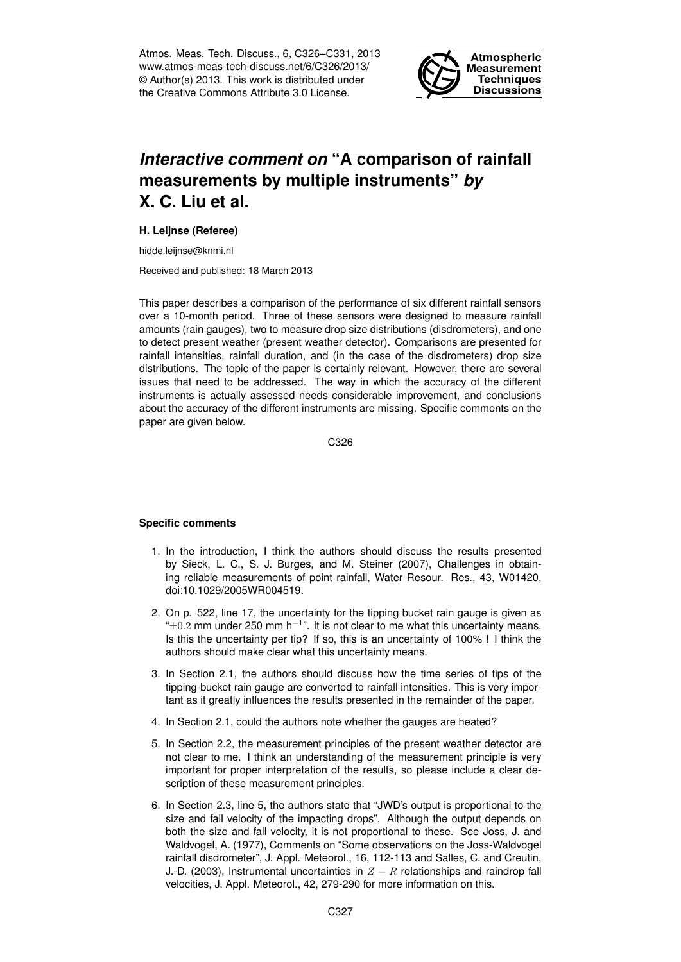Atmos. Meas. Tech. Discuss., 6, C326–C331, 2013 www.atmos-meas-tech-discuss.net/6/C326/2013/ © Author(s) 2013. This work is distributed under the Creative Commons Attribute 3.0 License.



## *Interactive comment on* **"A comparison of rainfall measurements by multiple instruments"** *by* **X. C. Liu et al.**

## **H. Leijnse (Referee)**

hidde.leijnse@knmi.nl

Received and published: 18 March 2013

This paper describes a comparison of the performance of six different rainfall sensors over a 10-month period. Three of these sensors were designed to measure rainfall amounts (rain gauges), two to measure drop size distributions (disdrometers), and one to detect present weather (present weather detector). Comparisons are presented for rainfall intensities, rainfall duration, and (in the case of the disdrometers) drop size distributions. The topic of the paper is certainly relevant. However, there are several issues that need to be addressed. The way in which the accuracy of the different instruments is actually assessed needs considerable improvement, and conclusions about the accuracy of the different instruments are missing. Specific comments on the paper are given below.

C326

## **Specific comments**

- 1. In the introduction, I think the authors should discuss the results presented by Sieck, L. C., S. J. Burges, and M. Steiner (2007), Challenges in obtaining reliable measurements of point rainfall, Water Resour. Res., 43, W01420, doi:10.1029/2005WR004519.
- 2. On p. 522, line 17, the uncertainty for the tipping bucket rain gauge is given as " $\pm 0.2$  mm under 250 mm h<sup>-1</sup>". It is not clear to me what this uncertainty means. Is this the uncertainty per tip? If so, this is an uncertainty of 100% ! I think the authors should make clear what this uncertainty means.
- 3. In Section 2.1, the authors should discuss how the time series of tips of the tipping-bucket rain gauge are converted to rainfall intensities. This is very important as it greatly influences the results presented in the remainder of the paper.
- 4. In Section 2.1, could the authors note whether the gauges are heated?
- 5. In Section 2.2, the measurement principles of the present weather detector are not clear to me. I think an understanding of the measurement principle is very important for proper interpretation of the results, so please include a clear description of these measurement principles.
- 6. In Section 2.3, line 5, the authors state that "JWD's output is proportional to the size and fall velocity of the impacting drops". Although the output depends on both the size and fall velocity, it is not proportional to these. See Joss, J. and Waldvogel, A. (1977), Comments on "Some observations on the Joss-Waldvogel rainfall disdrometer", J. Appl. Meteorol., 16, 112-113 and Salles, C. and Creutin, J.-D. (2003), Instrumental uncertainties in  $Z - R$  relationships and raindrop fall velocities, J. Appl. Meteorol., 42, 279-290 for more information on this.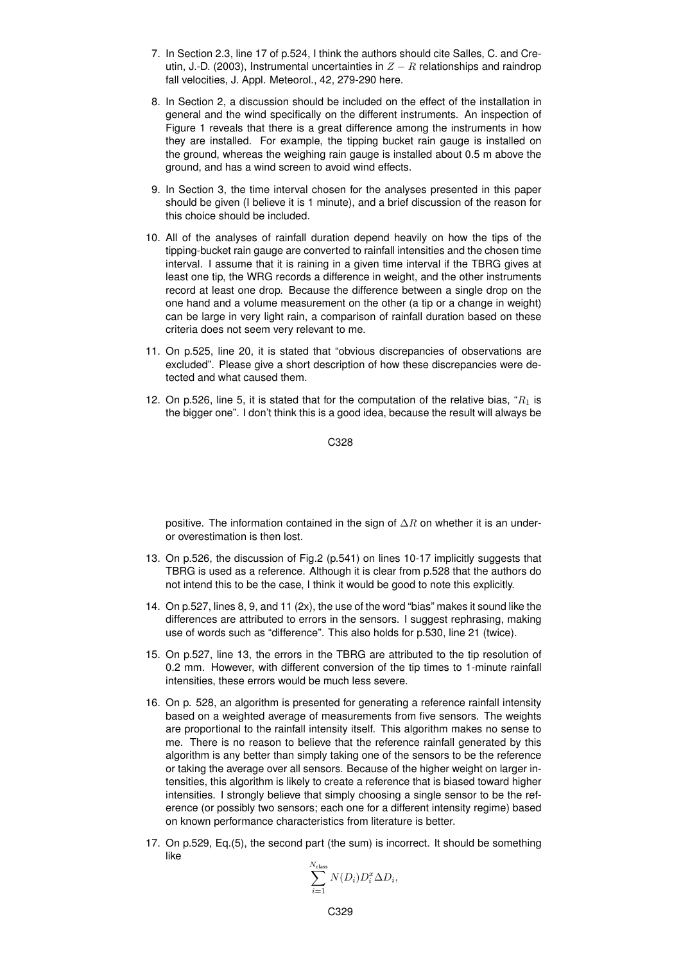- 7. In Section 2.3, line 17 of p.524, I think the authors should cite Salles, C. and Creutin, J.-D. (2003), Instrumental uncertainties in  $Z - R$  relationships and raindrop fall velocities, J. Appl. Meteorol., 42, 279-290 here.
- 8. In Section 2, a discussion should be included on the effect of the installation in general and the wind specifically on the different instruments. An inspection of Figure 1 reveals that there is a great difference among the instruments in how they are installed. For example, the tipping bucket rain gauge is installed on the ground, whereas the weighing rain gauge is installed about 0.5 m above the ground, and has a wind screen to avoid wind effects.
- 9. In Section 3, the time interval chosen for the analyses presented in this paper should be given (I believe it is 1 minute), and a brief discussion of the reason for this choice should be included.
- 10. All of the analyses of rainfall duration depend heavily on how the tips of the tipping-bucket rain gauge are converted to rainfall intensities and the chosen time interval. I assume that it is raining in a given time interval if the TBRG gives at least one tip, the WRG records a difference in weight, and the other instruments record at least one drop. Because the difference between a single drop on the one hand and a volume measurement on the other (a tip or a change in weight) can be large in very light rain, a comparison of rainfall duration based on these criteria does not seem very relevant to me.
- 11. On p.525, line 20, it is stated that "obvious discrepancies of observations are excluded". Please give a short description of how these discrepancies were detected and what caused them.
- 12. On p.526, line 5, it is stated that for the computation of the relative bias, " $R_1$  is the bigger one". I don't think this is a good idea, because the result will always be

C328

positive. The information contained in the sign of  $\Delta R$  on whether it is an underor overestimation is then lost.

- 13. On p.526, the discussion of Fig.2 (p.541) on lines 10-17 implicitly suggests that TBRG is used as a reference. Although it is clear from p.528 that the authors do not intend this to be the case, I think it would be good to note this explicitly.
- 14. On p.527, lines 8, 9, and 11 (2x), the use of the word "bias" makes it sound like the differences are attributed to errors in the sensors. I suggest rephrasing, making use of words such as "difference". This also holds for p.530, line 21 (twice).
- 15. On p.527, line 13, the errors in the TBRG are attributed to the tip resolution of 0.2 mm. However, with different conversion of the tip times to 1-minute rainfall intensities, these errors would be much less severe.
- 16. On p. 528, an algorithm is presented for generating a reference rainfall intensity based on a weighted average of measurements from five sensors. The weights are proportional to the rainfall intensity itself. This algorithm makes no sense to me. There is no reason to believe that the reference rainfall generated by this algorithm is any better than simply taking one of the sensors to be the reference or taking the average over all sensors. Because of the higher weight on larger intensities, this algorithm is likely to create a reference that is biased toward higher intensities. I strongly believe that simply choosing a single sensor to be the reference (or possibly two sensors; each one for a different intensity regime) based on known performance characteristics from literature is better.
- 17. On p.529, Eq.(5), the second part (the sum) is incorrect. It should be something like

$$
\sum_{i=1}^{N_{\text{class}}} N(D_i) D_i^x \Delta D_i,
$$